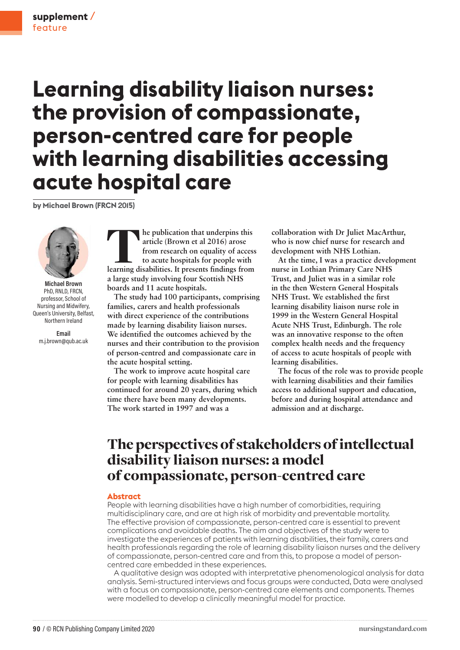# **Learning disability liaison nurses: the provision of compassionate, person-centred care for people with learning disabilities accessing acute hospital care**

**by Michael Brown (FRCN 2015)**



**Michael Brown** PhD, RNLD, FRCN, professor, School of Nursing and Midwifery, Queen's University, Belfast, Northern Ireland

**Email** m.j.brown@qub.ac.uk **le publication that underpins this article (Brown et al 2016) arose from research on equality of access to acute hospitals for people with learning disabilities. It presents findings from article (Brown et al 2016) arose from research on equality of access to acute hospitals for people with a large study involving four Scottish NHS boards and 11 acute hospitals.** 

**The study had 100 participants, comprising families, carers and health professionals with direct experience of the contributions made by learning disability liaison nurses. We identified the outcomes achieved by the nurses and their contribution to the provision of person-centred and compassionate care in the acute hospital setting.**

**The work to improve acute hospital care for people with learning disabilities has continued for around 20 years, during which time there have been many developments. The work started in 1997 and was a** 

**collaboration with Dr Juliet MacArthur, who is now chief nurse for research and development with NHS Lothian.** 

**At the time, I was a practice development nurse in Lothian Primary Care NHS Trust, and Juliet was in a similar role in the then Western General Hospitals NHS Trust. We established the first learning disability liaison nurse role in 1999 in the Western General Hospital Acute NHS Trust, Edinburgh. The role was an innovative response to the often complex health needs and the frequency of access to acute hospitals of people with learning disabilities.** 

**The focus of the role was to provide people with learning disabilities and their families access to additional support and education, before and during hospital attendance and admission and at discharge.**

## The perspectives of stakeholders of intellectual disability liaison nurses: a model of compassionate, person-centred care

#### **Abstract**

People with learning disabilities have a high number of comorbidities, requiring multidisciplinary care, and are at high risk of morbidity and preventable mortality. The effective provision of compassionate, person-centred care is essential to prevent complications and avoidable deaths. The aim and objectives of the study were to investigate the experiences of patients with learning disabilities, their family, carers and health professionals regarding the role of learning disability liaison nurses and the delivery of compassionate, person-centred care and from this, to propose a model of personcentred care embedded in these experiences.

A qualitative design was adopted with interpretative phenomenological analysis for data analysis. Semi-structured interviews and focus groups were conducted, Data were analysed with a focus on compassionate, person-centred care elements and components. Themes were modelled to develop a clinically meaningful model for practice.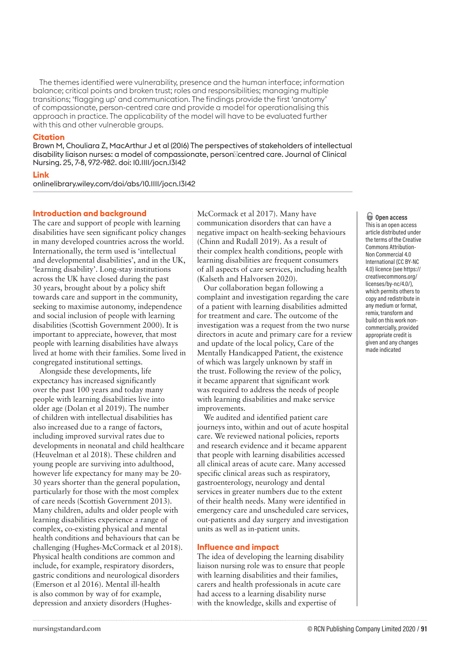The themes identified were vulnerability, presence and the human interface; information balance; critical points and broken trust; roles and responsibilities; managing multiple transitions; 'flagging up' and communication. The findings provide the first 'anatomy' of compassionate, person-centred care and provide a model for operationalising this approach in practice. The applicability of the model will have to be evaluated further with this and other vulnerable groups.

#### **Citation**

Brown M, Chouliara Z, MacArthur J et al (2016) The perspectives of stakeholders of intellectual disability liaison nurses: a model of compassionate, person Centred care. Journal of Clinical Nursing. 25, 7-8, 972-982. doi: 10.1111/jocn.13142

#### **Link**

onlinelibrary.wiley.com/doi/abs/10.1111/jocn.13142

#### **Introduction and background**

The care and support of people with learning disabilities have seen significant policy changes in many developed countries across the world. Internationally, the term used is 'intellectual and developmental disabilities', and in the UK, 'learning disability'. Long-stay institutions across the UK have closed during the past 30 years, brought about by a policy shift towards care and support in the community, seeking to maximise autonomy, independence and social inclusion of people with learning disabilities (Scottish Government 2000). It is important to appreciate, however, that most people with learning disabilities have always lived at home with their families. Some lived in congregated institutional settings.

Alongside these developments, life expectancy has increased significantly over the past 100 years and today many people with learning disabilities live into older age (Dolan et al 2019). The number of children with intellectual disabilities has also increased due to a range of factors, including improved survival rates due to developments in neonatal and child healthcare (Heuvelman et al 2018). These children and young people are surviving into adulthood, however life expectancy for many may be 20- 30 years shorter than the general population, particularly for those with the most complex of care needs (Scottish Government 2013). Many children, adults and older people with learning disabilities experience a range of complex, co-existing physical and mental health conditions and behaviours that can be challenging (Hughes-McCormack et al 2018). Physical health conditions are common and include, for example, respiratory disorders, gastric conditions and neurological disorders (Emerson et al 2016). Mental ill-health is also common by way of for example, depression and anxiety disorders (HughesMcCormack et al 2017). Many have communication disorders that can have a negative impact on health-seeking behaviours (Chinn and Rudall 2019). As a result of their complex health conditions, people with learning disabilities are frequent consumers of all aspects of care services, including health (Kalseth and Halvorsen 2020).

Our collaboration began following a complaint and investigation regarding the care of a patient with learning disabilities admitted for treatment and care. The outcome of the investigation was a request from the two nurse directors in acute and primary care for a review and update of the local policy, Care of the Mentally Handicapped Patient, the existence of which was largely unknown by staff in the trust. Following the review of the policy, it became apparent that significant work was required to address the needs of people with learning disabilities and make service improvements.

We audited and identified patient care journeys into, within and out of acute hospital care. We reviewed national policies, reports and research evidence and it became apparent that people with learning disabilities accessed all clinical areas of acute care. Many accessed specific clinical areas such as respiratory, gastroenterology, neurology and dental services in greater numbers due to the extent of their health needs. Many were identified in emergency care and unscheduled care services, out-patients and day surgery and investigation units as well as in-patient units.

#### **Influence and impact**

The idea of developing the learning disability liaison nursing role was to ensure that people with learning disabilities and their families, carers and health professionals in acute care had access to a learning disability nurse with the knowledge, skills and expertise of

#### o **Open access**

This is an open access article distributed under the terms of the Creative Commons Attribution-Non Commercial 4.0 International (CC BY-NC 4.0) licence (see https:// creativecommons.org/ licenses/by-nc/4.0/), which permits others to copy and redistribute in any medium or format, remix, transform and build on this work noncommercially, provided appropriate credit is given and any changes made indicated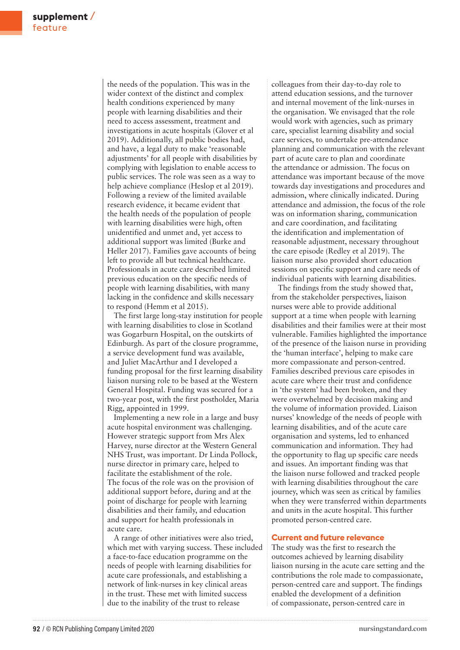the needs of the population. This was in the wider context of the distinct and complex health conditions experienced by many people with learning disabilities and their need to access assessment, treatment and investigations in acute hospitals (Glover et al 2019). Additionally, all public bodies had, and have, a legal duty to make 'reasonable adjustments' for all people with disabilities by complying with legislation to enable access to public services. The role was seen as a way to help achieve compliance (Heslop et al 2019). Following a review of the limited available research evidence, it became evident that the health needs of the population of people with learning disabilities were high, often unidentified and unmet and, yet access to additional support was limited (Burke and Heller 2017). Families gave accounts of being left to provide all but technical healthcare. Professionals in acute care described limited previous education on the specific needs of people with learning disabilities, with many lacking in the confidence and skills necessary to respond (Hemm et al 2015).

The first large long-stay institution for people with learning disabilities to close in Scotland was Gogarburn Hospital, on the outskirts of Edinburgh. As part of the closure programme, a service development fund was available, and Juliet MacArthur and I developed a funding proposal for the first learning disability liaison nursing role to be based at the Western General Hospital. Funding was secured for a two-year post, with the first postholder, Maria Rigg, appointed in 1999.

Implementing a new role in a large and busy acute hospital environment was challenging. However strategic support from Mrs Alex Harvey, nurse director at the Western General NHS Trust, was important. Dr Linda Pollock, nurse director in primary care, helped to facilitate the establishment of the role. The focus of the role was on the provision of additional support before, during and at the point of discharge for people with learning disabilities and their family, and education and support for health professionals in acute care.

A range of other initiatives were also tried, which met with varying success. These included a face-to-face education programme on the needs of people with learning disabilities for acute care professionals, and establishing a network of link-nurses in key clinical areas in the trust. These met with limited success due to the inability of the trust to release

colleagues from their day-to-day role to attend education sessions, and the turnover and internal movement of the link-nurses in the organisation. We envisaged that the role would work with agencies, such as primary care, specialist learning disability and social care services, to undertake pre-attendance planning and communication with the relevant part of acute care to plan and coordinate the attendance or admission. The focus on attendance was important because of the move towards day investigations and procedures and admission, where clinically indicated. During attendance and admission, the focus of the role was on information sharing, communication and care coordination, and facilitating the identification and implementation of reasonable adjustment, necessary throughout the care episode (Redley et al 2019). The liaison nurse also provided short education sessions on specific support and care needs of individual patients with learning disabilities.

The findings from the study showed that, from the stakeholder perspectives, liaison nurses were able to provide additional support at a time when people with learning disabilities and their families were at their most vulnerable. Families highlighted the importance of the presence of the liaison nurse in providing the 'human interface', helping to make care more compassionate and person-centred. Families described previous care episodes in acute care where their trust and confidence in 'the system' had been broken, and they were overwhelmed by decision making and the volume of information provided. Liaison nurses' knowledge of the needs of people with learning disabilities, and of the acute care organisation and systems, led to enhanced communication and information. They had the opportunity to flag up specific care needs and issues. An important finding was that the liaison nurse followed and tracked people with learning disabilities throughout the care journey, which was seen as critical by families when they were transferred within departments and units in the acute hospital. This further promoted person-centred care.

#### **Current and future relevance**

The study was the first to research the outcomes achieved by learning disability liaison nursing in the acute care setting and the contributions the role made to compassionate, person-centred care and support. The findings enabled the development of a definition of compassionate, person-centred care in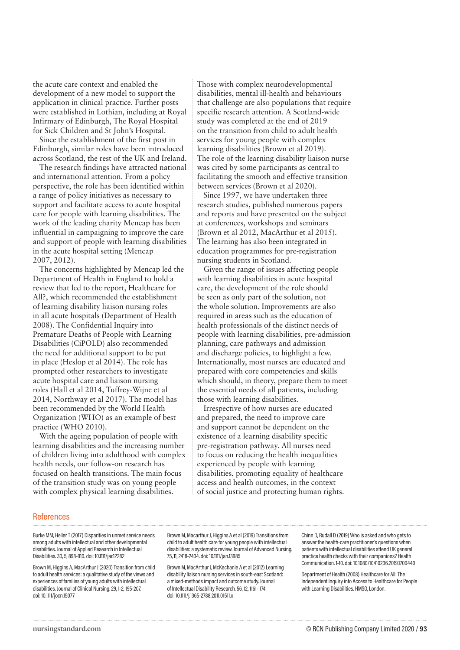the acute care context and enabled the development of a new model to support the application in clinical practice. Further posts were established in Lothian, including at Royal Infirmary of Edinburgh, The Royal Hospital for Sick Children and St John's Hospital.

Since the establishment of the first post in Edinburgh, similar roles have been introduced across Scotland, the rest of the UK and Ireland.

The research findings have attracted national and international attention. From a policy perspective, the role has been identified within a range of policy initiatives as necessary to support and facilitate access to acute hospital care for people with learning disabilities. The work of the leading charity Mencap has been influential in campaigning to improve the care and support of people with learning disabilities in the acute hospital setting (Mencap 2007, 2012).

The concerns highlighted by Mencap led the Department of Health in England to hold a review that led to the report, Healthcare for All?, which recommended the establishment of learning disability liaison nursing roles in all acute hospitals (Department of Health 2008). The Confidential Inquiry into Premature Deaths of People with Learning Disabilities (CiPOLD) also recommended the need for additional support to be put in place (Heslop et al 2014). The role has prompted other researchers to investigate acute hospital care and liaison nursing roles (Hall et al 2014, Tuffrey-Wijne et al 2014, Northway et al 2017). The model has been recommended by the World Health Organization (WHO) as an example of best practice (WHO 2010).

With the ageing population of people with learning disabilities and the increasing number of children living into adulthood with complex health needs, our follow-on research has focused on health transitions. The main focus of the transition study was on young people with complex physical learning disabilities.

Those with complex neurodevelopmental disabilities, mental ill-health and behaviours that challenge are also populations that require specific research attention. A Scotland-wide study was completed at the end of 2019 on the transition from child to adult health services for young people with complex learning disabilities (Brown et al 2019). The role of the learning disability liaison nurse was cited by some participants as central to facilitating the smooth and effective transition between services (Brown et al 2020).

Since 1997, we have undertaken three research studies, published numerous papers and reports and have presented on the subject at conferences, workshops and seminars (Brown et al 2012, MacArthur et al 2015). The learning has also been integrated in education programmes for pre-registration nursing students in Scotland.

Given the range of issues affecting people with learning disabilities in acute hospital care, the development of the role should be seen as only part of the solution, not the whole solution. Improvements are also required in areas such as the education of health professionals of the distinct needs of people with learning disabilities, pre-admission planning, care pathways and admission and discharge policies, to highlight a few. Internationally, most nurses are educated and prepared with core competencies and skills which should, in theory, prepare them to meet the essential needs of all patients, including those with learning disabilities.

Irrespective of how nurses are educated and prepared, the need to improve care and support cannot be dependent on the existence of a learning disability specific pre-registration pathway. All nurses need to focus on reducing the health inequalities experienced by people with learning disabilities, promoting equality of healthcare access and health outcomes, in the context of social justice and protecting human rights.

#### References

Burke MM, Heller T (2017) Disparities in unmet service needs among adults with intellectual and other developmental disabilities. Journal of Applied Research in Intellectual Disabilities. 30, 5, 898-910. doi: 10.1111/jar.12282

Brown M, Higgins A, MacArthur J (2020) Transition from child to adult health services: a qualitative study of the views and experiences of families of young adults with intellectual disabilities. Journal of Clinical Nursing. 29, 1-2, 195-207. doi: 10.1111/jocn.15077

Brown M, Macarthur J, Higgins A et al (2019) Transitions from child to adult health care for young people with intellectual disabilities: a systematic review. Journal of Advanced Nursing. 75, 11, 2418-2434. doi: 10.1111/jan.13985

Brown M, MacArthur J, McKechanie A et al (2012) Learning disability liaison nursing services in south-east Scotland: a mixed‐methods impact and outcome study. Journal of Intellectual Disability Research. 56, 12, 1161-1174. doi: 10.1111/j.1365-2788.2011.01511.x

Chinn D, Rudall D (2019) Who is asked and who gets to answer the health-care practitioner's questions when patients with intellectual disabilities attend UK general practice health checks with their companions? Health Communication. 1-10. doi: 10.1080/10410236.2019.1700440

Department of Health (2008) Healthcare for All: The Independent Inquiry into Access to Healthcare for People with Learning Disabilities. HMSO, London.